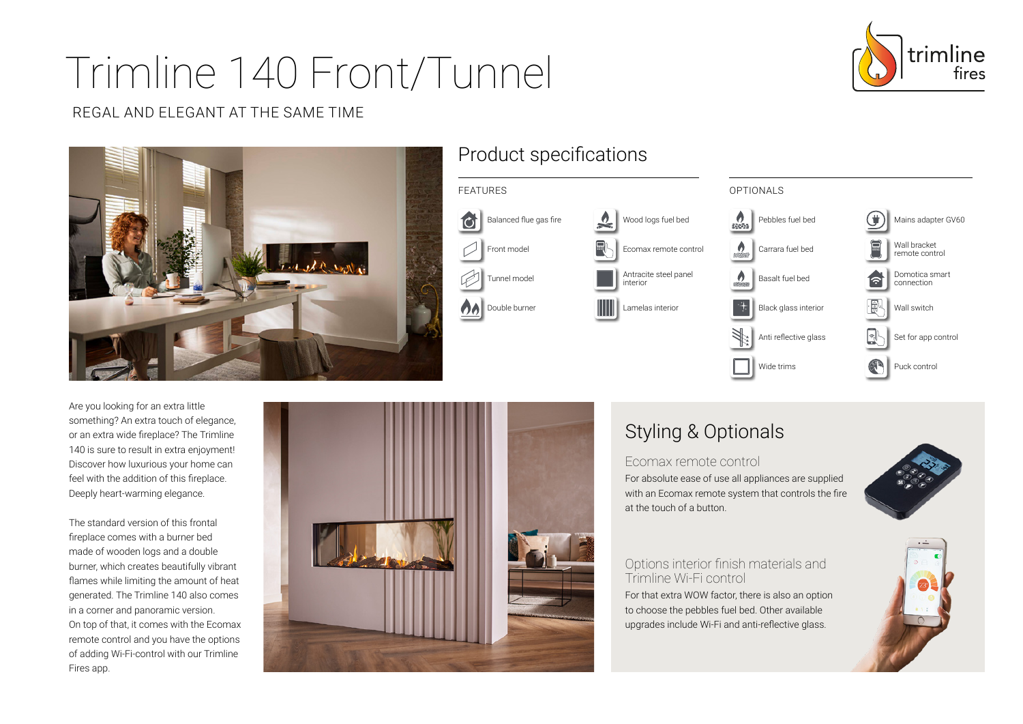# Trimline 140 Front/Tunnel



#### REGAL AND ELEGANT AT THE SAME TIME



### Product specifications



Are you looking for an extra little something? An extra touch of elegance, or an extra wide fireplace? The Trimline 140 is sure to result in extra enjoyment! Discover how luxurious your home can feel with the addition of this fireplace. Deeply heart-warming elegance.

The standard version of this frontal fireplace comes with a burner bed made of wooden logs and a double burner, which creates beautifully vibrant flames while limiting the amount of heat generated. The Trimline 140 also comes in a corner and panoramic version. On top of that, it comes with the Ecomax remote control and you have the options of adding Wi-Fi-control with our Trimline Fires app.



# Styling & Optionals

Ecomax remote control For absolute ease of use all appliances are supplied with an Ecomax remote system that controls the fire at the touch of a button.



#### Options interior finish materials and Trimline Wi-Fi control

For that extra WOW factor, there is also an option to choose the pebbles fuel bed. Other available upgrades include Wi-Fi and anti-reflective glass.